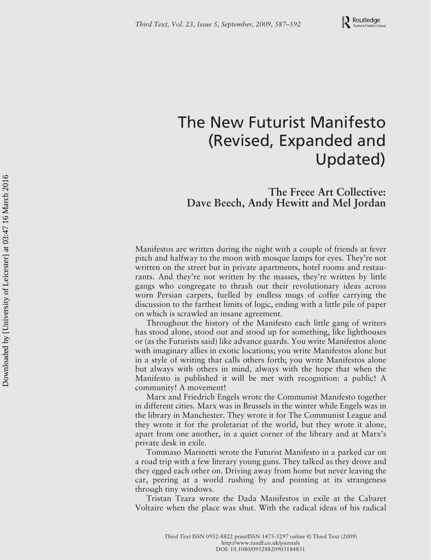

## The New Futurist Manifesto (Revised, Expanded and Updated)

## **The Freee Art Collective: Dave Beech, Andy Hewitt and Mel Jordan**

Manifestos are written during the night with a couple of friends at fever pitch and halfway to the moon with mosque lamps for eyes. They're not written on the street but in private apartments, hotel rooms and restaurants. And they're not written by the masses, they're written by little gangs who congregate to thrash out their revolutionary ideas across worn Persian carpets, fuelled by endless mugs of coffee carrying the discussion to the farthest limits of logic, ending with a little pile of paper on which is scrawled an insane agreement.

Throughout the history of the Manifesto each little gang of writers has stood alone, stood out and stood up for something, like lighthouses or (as the Futurists said) like advance guards. You write Manifestos alone with imaginary allies in exotic locations; you write Manifestos alone but in a style of writing that calls others forth; you write Manifestos alone but always with others in mind, always with the hope that when the Manifesto is published it will be met with recognition: a public! A community! A movement!

Marx and Friedrich Engels wrote the Communist Manifesto together in different cities. Marx was in Brussels in the winter while Engels was in the library in Manchester. They wrote it for The Communist League and they wrote it for the proletariat of the world, but they wrote it alone, apart from one another, in a quiet corner of the library and at Marx's private desk in exile.

Tommaso Marinetti wrote the Futurist Manifesto in a parked car on a road trip with a few literary young guns. They talked as they drove and they egged each other on. Driving away from home but never leaving the car, peering at a world rushing by and pointing at its strangeness through tiny windows.

Tristan Tzara wrote the Dada Manifestos in exile at the Cabaret Voltaire when the place was shut. With the radical ideas of his radical

*Third Text* ISSN 0952-8822 print/ISSN 1475-5297 online © Third Text (2009) http://www.tandf.co.uk/journals DOI: 10.1080/09528820903184831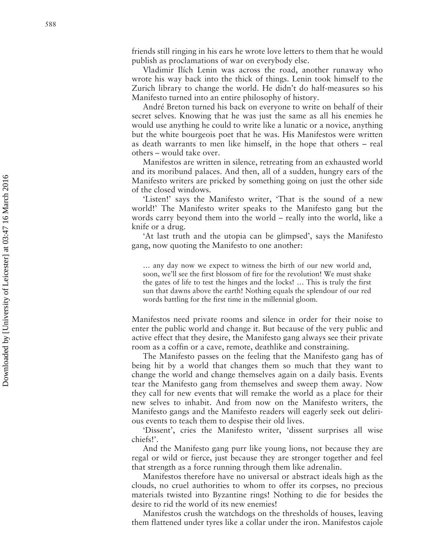friends still ringing in his ears he wrote love letters to them that he would publish as proclamations of war on everybody else.

Vladimir Ilích Lenin was across the road, another runaway who wrote his way back into the thick of things. Lenin took himself to the Zurich library to change the world. He didn't do half-measures so his Manifesto turned into an entire philosophy of history.

André Breton turned his back on everyone to write on behalf of their secret selves. Knowing that he was just the same as all his enemies he would use anything he could to write like a lunatic or a novice, anything but the white bourgeois poet that he was. His Manifestos were written as death warrants to men like himself, in the hope that others – real others – would take over.

Manifestos are written in silence, retreating from an exhausted world and its moribund palaces. And then, all of a sudden, hungry ears of the Manifesto writers are pricked by something going on just the other side of the closed windows.

'Listen!' says the Manifesto writer, 'That is the sound of a new world!' The Manifesto writer speaks to the Manifesto gang but the words carry beyond them into the world – really into the world, like a knife or a drug.

'At last truth and the utopia can be glimpsed', says the Manifesto gang, now quoting the Manifesto to one another:

… any day now we expect to witness the birth of our new world and, soon, we'll see the first blossom of fire for the revolution! We must shake the gates of life to test the hinges and the locks! … This is truly the first sun that dawns above the earth! Nothing equals the splendour of our red words battling for the first time in the millennial gloom.

Manifestos need private rooms and silence in order for their noise to enter the public world and change it. But because of the very public and active effect that they desire, the Manifesto gang always see their private room as a coffin or a cave, remote, deathlike and constraining.

The Manifesto passes on the feeling that the Manifesto gang has of being hit by a world that changes them so much that they want to change the world and change themselves again on a daily basis. Events tear the Manifesto gang from themselves and sweep them away. Now they call for new events that will remake the world as a place for their new selves to inhabit. And from now on the Manifesto writers, the Manifesto gangs and the Manifesto readers will eagerly seek out delirious events to teach them to despise their old lives.

'Dissent', cries the Manifesto writer, 'dissent surprises all wise chiefs!'.

And the Manifesto gang purr like young lions, not because they are regal or wild or fierce, just because they are stronger together and feel that strength as a force running through them like adrenalin.

Manifestos therefore have no universal or abstract ideals high as the clouds, no cruel authorities to whom to offer its corpses, no precious materials twisted into Byzantine rings! Nothing to die for besides the desire to rid the world of its new enemies!

Manifestos crush the watchdogs on the thresholds of houses, leaving them flattened under tyres like a collar under the iron. Manifestos cajole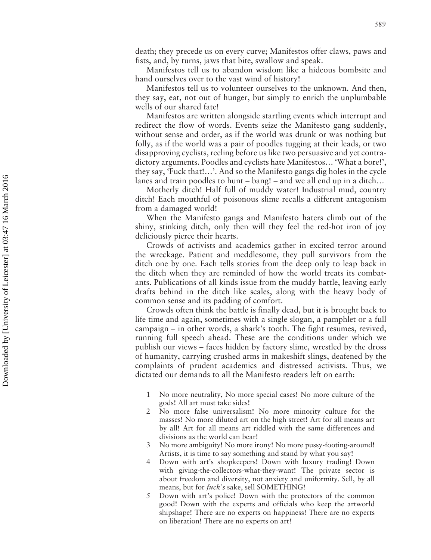death; they precede us on every curve; Manifestos offer claws, paws and fists, and, by turns, jaws that bite, swallow and speak.

Manifestos tell us to abandon wisdom like a hideous bombsite and hand ourselves over to the vast wind of history!

Manifestos tell us to volunteer ourselves to the unknown. And then, they say, eat, not out of hunger, but simply to enrich the unplumbable wells of our shared fate!

Manifestos are written alongside startling events which interrupt and redirect the flow of words. Events seize the Manifesto gang suddenly, without sense and order, as if the world was drunk or was nothing but folly, as if the world was a pair of poodles tugging at their leads, or two disapproving cyclists, reeling before us like two persuasive and yet contradictory arguments. Poodles and cyclists hate Manifestos… 'What a bore!', they say, 'Fuck that!…'. And so the Manifesto gangs dig holes in the cycle lanes and train poodles to hunt – bang! – and we all end up in a ditch…

Motherly ditch! Half full of muddy water! Industrial mud, country ditch! Each mouthful of poisonous slime recalls a different antagonism from a damaged world!

When the Manifesto gangs and Manifesto haters climb out of the shiny, stinking ditch, only then will they feel the red-hot iron of joy deliciously pierce their hearts.

Crowds of activists and academics gather in excited terror around the wreckage. Patient and meddlesome, they pull survivors from the ditch one by one. Each tells stories from the deep only to leap back in the ditch when they are reminded of how the world treats its combatants. Publications of all kinds issue from the muddy battle, leaving early drafts behind in the ditch like scales, along with the heavy body of common sense and its padding of comfort.

Crowds often think the battle is finally dead, but it is brought back to life time and again, sometimes with a single slogan, a pamphlet or a full campaign – in other words, a shark's tooth. The fight resumes, revived, running full speech ahead. These are the conditions under which we publish our views – faces hidden by factory slime, wrestled by the dross of humanity, carrying crushed arms in makeshift slings, deafened by the complaints of prudent academics and distressed activists. Thus, we dictated our demands to all the Manifesto readers left on earth:

- 1 No more neutrality, No more special cases! No more culture of the gods! All art must take sides!
- 2 No more false universalism! No more minority culture for the masses! No more diluted art on the high street! Art for all means art by all! Art for all means art riddled with the same differences and divisions as the world can bear!
- 3 No more ambiguity! No more irony! No more pussy-footing-around! Artists, it is time to say something and stand by what you say!
- 4 Down with art's shopkeepers! Down with luxury trading! Down with giving-the-collectors-what-they-want! The private sector is about freedom and diversity, not anxiety and uniformity. Sell, by all means, but for *fuck's* sake, sell SOMETHING!
- 5 Down with art's police! Down with the protectors of the common good! Down with the experts and officials who keep the artworld shipshape! There are no experts on happiness! There are no experts on liberation! There are no experts on art!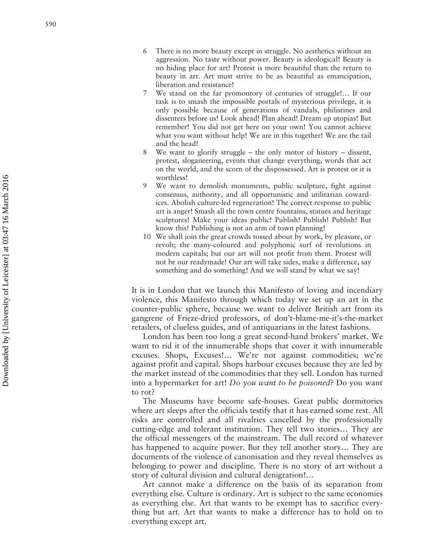- 6 There is no more beauty except in struggle. No aesthetics without an aggression. No taste without power. Beauty is ideological! Beauty is no hiding place for art! Protest is more beautiful than the return to beauty in art. Art must strive to be as beautiful as emancipation, liberation and resistance!
- We stand on the far promontory of centuries of struggle!... If our task is to smash the impossible portals of mysterious privilege, it is only possible because of generations of vandals, philistines and dissenters before us! Look ahead! Plan ahead! Dream up utopias! But remember! You did not get here on your own! You cannot achieve what you want without help! We are in this together! We are the tail and the head!
- 8 We want to glorify struggle the only motor of history dissent, protest, sloganeering, events that change everything, words that act on the world, and the scorn of the dispossessed. Art is protest or it is worthless!
- 9 We want to demolish monuments, public sculpture, fight against consensus, authority, and all opportunistic and utilitarian cowardices. Abolish culture-led regeneration! The correct response to public art is anger! Smash all the town centre fountains, statues and heritage sculptures! Make your ideas public! Publish! Publish! Publish! But know this! Publishing is not an arm of town planning!
- 10 We shall join the great crowds tossed about by work, by pleasure, or revolt; the many-coloured and polyphonic surf of revolutions in modern capitals; but our art will not profit from them. Protest will not be our readymade! Our art will take sides, make a difference, say something and do something! And we will stand by what we say!

It is in London that we launch this Manifesto of loving and incendiary violence, this Manifesto through which today we set up an art in the counter-public sphere, because we want to deliver British art from its gangrene of Frieze-dried professors, of don't-blame-me-it's-the-market retailers, of clueless guides, and of antiquarians in the latest fashions.

London has been too long a great second-hand brokers' market. We want to rid it of the innumerable shops that cover it with innumerable excuses. Shops, Excuses!… We're not against commodities; we're against profit and capital. Shops harbour excuses because they are led by the market instead of the commodities that they sell. London has turned into a hypermarket for art! *Do you want to be poisoned*? Do you want to rot?

The Museums have become safe-houses. Great public dormitories where art sleeps after the officials testify that it has earned some rest. All risks are controlled and all rivalries cancelled by the professionally cutting-edge and tolerant institution. They tell two stories… They are the official messengers of the mainstream. The dull record of whatever has happened to acquire power. But they tell another story… They are documents of the violence of canonisation and they reveal themselves as belonging to power and discipline. There is no story of art without a story of cultural division and cultural denigration!…

Art cannot make a difference on the basis of its separation from everything else. Culture is ordinary. Art is subject to the same economies as everything else. Art that wants to be exempt has to sacrifice everything but art. Art that wants to make a difference has to hold on to everything except art.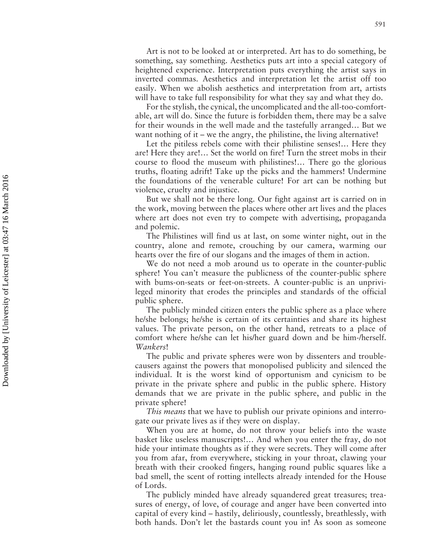Art is not to be looked at or interpreted. Art has to do something, be something, say something. Aesthetics puts art into a special category of heightened experience. Interpretation puts everything the artist says in inverted commas. Aesthetics and interpretation let the artist off too easily. When we abolish aesthetics and interpretation from art, artists will have to take full responsibility for what they say and what they do.

For the stylish, the cynical, the uncomplicated and the all-too-comfortable, art will do. Since the future is forbidden them, there may be a salve for their wounds in the well made and the tastefully arranged… But we want nothing of it – we the angry, the philistine, the living alternative!

Let the pitiless rebels come with their philistine senses!… Here they are! Here they are!… Set the world on fire! Turn the street mobs in their course to flood the museum with philistines!… There go the glorious truths, floating adrift! Take up the picks and the hammers! Undermine the foundations of the venerable culture! For art can be nothing but violence, cruelty and injustice.

But we shall not be there long. Our fight against art is carried on in the work, moving between the places where other art lives and the places where art does not even try to compete with advertising, propaganda and polemic.

The Philistines will find us at last, on some winter night, out in the country, alone and remote, crouching by our camera, warming our hearts over the fire of our slogans and the images of them in action.

We do not need a mob around us to operate in the counter-public sphere! You can't measure the publicness of the counter-public sphere with bums-on-seats or feet-on-streets. A counter-public is an unprivileged minority that erodes the principles and standards of the official public sphere.

The publicly minded citizen enters the public sphere as a place where he/she belongs; he/she is certain of its certainties and share its highest values. The private person, on the other hand, retreats to a place of comfort where he/she can let his/her guard down and be him-/herself. *Wankers*!

The public and private spheres were won by dissenters and troublecausers against the powers that monopolised publicity and silenced the individual. It is the worst kind of opportunism and cynicism to be private in the private sphere and public in the public sphere. History demands that we are private in the public sphere, and public in the private sphere!

*This means* that we have to publish our private opinions and interrogate our private lives as if they were on display.

When you are at home, do not throw your beliefs into the waste basket like useless manuscripts!… And when you enter the fray, do not hide your intimate thoughts as if they were secrets. They will come after you from afar, from everywhere, sticking in your throat, clawing your breath with their crooked fingers, hanging round public squares like a bad smell, the scent of rotting intellects already intended for the House of Lords.

The publicly minded have already squandered great treasures; treasures of energy, of love, of courage and anger have been converted into capital of every kind – hastily, deliriously, countlessly, breathlessly, with both hands. Don't let the bastards count you in! As soon as someone